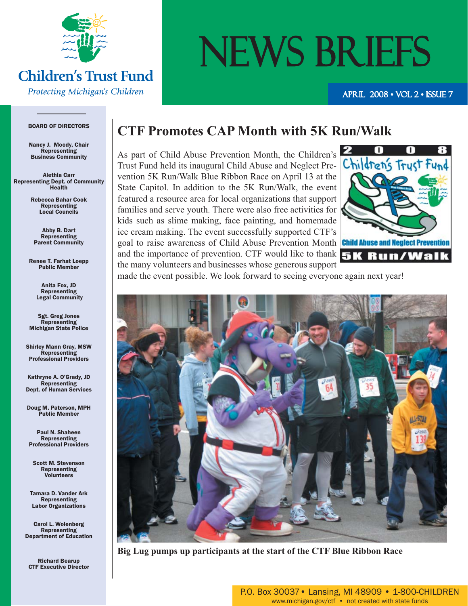

#### **Children's Trust Fund** Protecting Michigan's Children

# NEWS BRIEFS

APRIL 2008 • VOL 2 • ISSUE 7

#### BOARD OF DIRECTORS

Nancy J. Moody, Chair Representing Business Community

Alethia Carr Representing Dept. of Community Health

> Rebecca Bahar Cook Representing Local Councils

Abby B. Dart Representing Parent Community

Renee T. Farhat Loepp Public Member

> Anita Fox, JD Representing Legal Community

Sgt. Greg Jones **Representing** Michigan State Police

Shirley Mann Gray, MSW Representing Professional Providers

Kathryne A. O'Grady, JD Representing Dept. of Human Services

Doug M. Paterson, MPH Public Member

Paul N. Shaheen Representing Professional Providers

Scott M. Stevenson Representing Volunteers

Tamara D. Vander Ark Representing Labor Organizations

Carol L. Wolenberg Representing Department of Education

Richard Bearup CTF Executive Director

#### **CTF Promotes CAP Month with 5K Run/Walk**

As part of Child Abuse Prevention Month, the Children's Trust Fund held its inaugural Child Abuse and Neglect Prevention 5K Run/Walk Blue Ribbon Race on April 13 at the State Capitol. In addition to the 5K Run/Walk, the event featured a resource area for local organizations that support families and serve youth. There were also free activities for kids such as slime making, face painting, and homemade ice cream making. The event successfully supported CTF's goal to raise awareness of Child Abuse Prevention Month and the importance of prevention. CTF would like to thank  $\overline{\mathbf{5}}\mathbf{K}$   $\overline{\mathbf{R}}\mathbf{u}\mathbf{n}$  / Walk the many volunteers and businesses whose generous support



made the event possible. We look forward to seeing everyone again next year!



**Big Lug pumps up participants at the start of the CTF Blue Ribbon Race**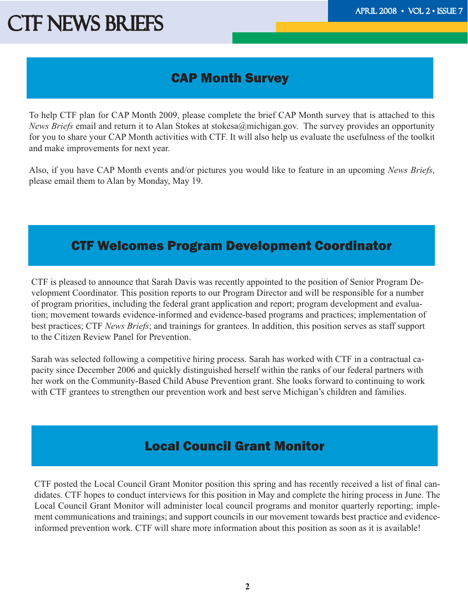### CAP Month Survey

To help CTF plan for CAP Month 2009, please complete the brief CAP Month survey that is attached to this *News Briefs* email and return it to Alan Stokes at stokesa@michigan.gov. The survey provides an opportunity for you to share your CAP Month activities with CTF. It will also help us evaluate the usefulness of the toolkit and make improvements for next year.

Also, if you have CAP Month events and/or pictures you would like to feature in an upcoming *News Briefs*, please email them to Alan by Monday, May 19.

#### CTF Welcomes Program Development Coordinator

CTF is pleased to announce that Sarah Davis was recently appointed to the position of Senior Program Development Coordinator. This position reports to our Program Director and will be responsible for a number of program priorities, including the federal grant application and report; program development and evaluation; movement towards evidence-informed and evidence-based programs and practices; implementation of best practices; CTF *News Briefs*; and trainings for grantees. In addition, this position serves as staff support to the Citizen Review Panel for Prevention.

Sarah was selected following a competitive hiring process. Sarah has worked with CTF in a contractual capacity since December 2006 and quickly distinguished herself within the ranks of our federal partners with her work on the Community-Based Child Abuse Prevention grant. She looks forward to continuing to work with CTF grantees to strengthen our prevention work and best serve Michigan's children and families.

### Local Council Grant Monitor

CTF posted the Local Council Grant Monitor position this spring and has recently received a list of final candidates. CTF hopes to conduct interviews for this position in May and complete the hiring process in June. The Local Council Grant Monitor will administer local council programs and monitor quarterly reporting; implement communications and trainings; and support councils in our movement towards best practice and evidenceinformed prevention work. CTF will share more information about this position as soon as it is available!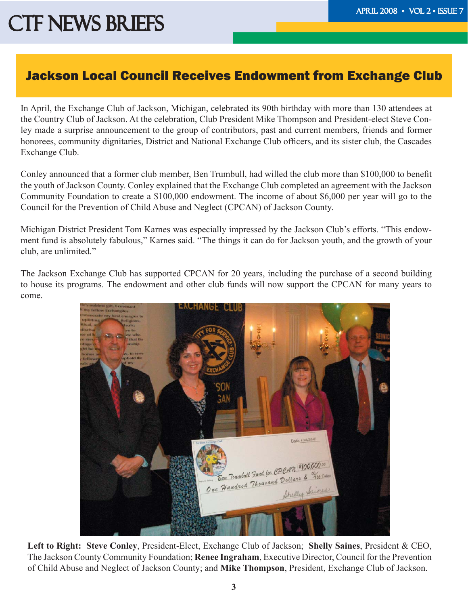#### Jackson Local Council Receives Endowment from Exchange Club

In April, the Exchange Club of Jackson, Michigan, celebrated its 90th birthday with more than 130 attendees at the Country Club of Jackson. At the celebration, Club President Mike Thompson and President-elect Steve Conley made a surprise announcement to the group of contributors, past and current members, friends and former honorees, community dignitaries, District and National Exchange Club officers, and its sister club, the Cascades Exchange Club.

Conley announced that a former club member, Ben Trumbull, had willed the club more than \$100,000 to benefit the youth of Jackson County. Conley explained that the Exchange Club completed an agreement with the Jackson Community Foundation to create a \$100,000 endowment. The income of about \$6,000 per year will go to the Council for the Prevention of Child Abuse and Neglect (CPCAN) of Jackson County.

Michigan District President Tom Karnes was especially impressed by the Jackson Club's efforts. "This endowment fund is absolutely fabulous," Karnes said. "The things it can do for Jackson youth, and the growth of your club, are unlimited."

The Jackson Exchange Club has supported CPCAN for 20 years, including the purchase of a second building to house its programs. The endowment and other club funds will now support the CPCAN for many years to come.



**Left to Right: Steve Conley**, President-Elect, Exchange Club of Jackson; **Shelly Saines**, President & CEO, The Jackson County Community Foundation; **Renee Ingraham**, Executive Director, Council for the Prevention of Child Abuse and Neglect of Jackson County; and **Mike Thompson**, President, Exchange Club of Jackson.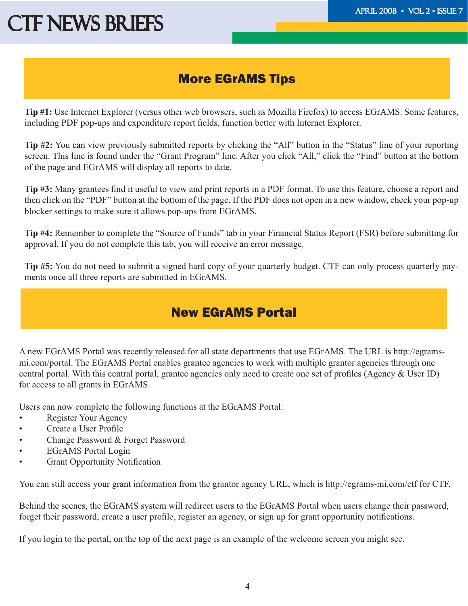#### More EGrAMS Tips

**Tip #1:** Use Internet Explorer (versus other web browsers, such as Mozilla Firefox) to access EGrAMS. Some features, including PDF pop-ups and expenditure report fields, function better with Internet Explorer.

**Tip #2:** You can view previously submitted reports by clicking the "All" button in the "Status" line of your reporting screen. This line is found under the "Grant Program" line. After you click "All," click the "Find" button at the bottom of the page and EGrAMS will display all reports to date.

**Tip #3:** Many grantees find it useful to view and print reports in a PDF format. To use this feature, choose a report and then click on the "PDF" button at the bottom of the page. If the PDF does not open in a new window, check your pop-up blocker settings to make sure it allows pop-ups from EGrAMS.

**Tip #4:** Remember to complete the "Source of Funds" tab in your Financial Status Report (FSR) before submitting for approval. If you do not complete this tab, you will receive an error message.

**Tip #5:** You do not need to submit a signed hard copy of your quarterly budget. CTF can only process quarterly payments once all three reports are submitted in EGrAMS.

### New EGrAMS Portal

A new EGrAMS Portal was recently released for all state departments that use EGrAMS. The URL is http://egramsmi.com/portal. The EGrAMS Portal enables grantee agencies to work with multiple grantor agencies through one central portal. With this central portal, grantee agencies only need to create one set of profiles (Agency  $&$  User ID) for access to all grants in EGrAMS.

Users can now complete the following functions at the EGrAMS Portal:

- Register Your Agency
- Create a User Profile
- Change Password & Forget Password
- EGrAMS Portal Login
- **Grant Opportunity Notification**

You can still access your grant information from the grantor agency URL, which is http://egrams-mi.com/ctf for CTF.

Behind the scenes, the EGrAMS system will redirect users to the EGrAMS Portal when users change their password, forget their password, create a user profile, register an agency, or sign up for grant opportunity notifications.

If you login to the portal, on the top of the next page is an example of the welcome screen you might see.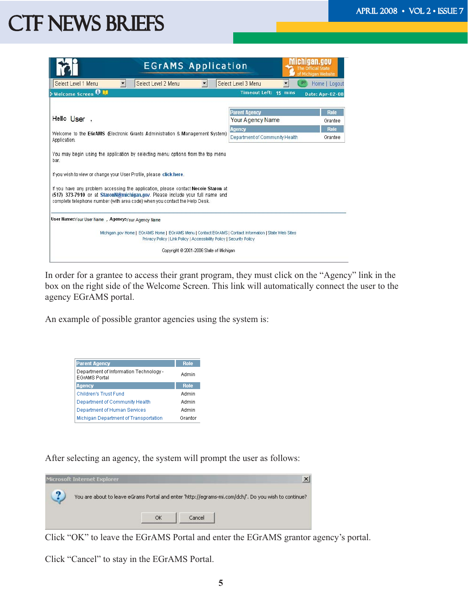| <b>EGrAMS Application</b>                                                                                                                                                                                                                                                                                                                                                                                          |                                                 | Official State<br>Michigan Website |
|--------------------------------------------------------------------------------------------------------------------------------------------------------------------------------------------------------------------------------------------------------------------------------------------------------------------------------------------------------------------------------------------------------------------|-------------------------------------------------|------------------------------------|
| Select Level 2 Menu<br>Select Level 1 Menu<br>$\blacktriangledown$                                                                                                                                                                                                                                                                                                                                                 | Select Level 3 Menu<br>$g$ o                    | Home   Logout                      |
| <b>&gt; Welcome Screen O M</b>                                                                                                                                                                                                                                                                                                                                                                                     | Timeout Left: 15 mins                           | <b>Date: Apr-02-08</b>             |
|                                                                                                                                                                                                                                                                                                                                                                                                                    |                                                 | <b>Role</b>                        |
| Hello User,                                                                                                                                                                                                                                                                                                                                                                                                        | <b>Parent Agency</b><br><b>Your Agency Name</b> | Grantee                            |
|                                                                                                                                                                                                                                                                                                                                                                                                                    | Agency                                          | Role                               |
| Welcome to the EGrAMS (Electronic Grants Administration & Management System)<br>Application.                                                                                                                                                                                                                                                                                                                       | Department of Community Health                  | Grantee                            |
| You may begin using the application by selecting menu options from the top menu<br>bar.<br>If you wish to view or change your User Profile, please click here.<br>If you have any problem accessing the application, please contact Necole Staron at<br>(517) 373-7910 or at StaronN@michigan.gov. Please include your full name and<br>complete telephone number (with area code) when you contact the Help Desk. |                                                 |                                    |
| User Name: Your User Name , Agency: Your Agency Name                                                                                                                                                                                                                                                                                                                                                               |                                                 |                                    |
| Michigan.gov Home   EGrAMS Home   EGrAMS Menu   Contact EGrAMS   Contact Information   State Web Sites<br>Privacy Policy   Link Policy   Accessibility Policy   Security Policy                                                                                                                                                                                                                                    |                                                 |                                    |
| Copyright @ 2001-2006 State of Michigan                                                                                                                                                                                                                                                                                                                                                                            |                                                 |                                    |
|                                                                                                                                                                                                                                                                                                                                                                                                                    |                                                 |                                    |

In order for a grantee to access their grant program, they must click on the "Agency" link in the box on the right side of the Welcome Screen. This link will automatically connect the user to the agency EGrAMS portal.

An example of possible grantor agencies using the system is:

| <b>Parent Agency</b>                                           | <b>Role</b> |
|----------------------------------------------------------------|-------------|
| Department of Information Technology -<br><b>EGrAMS Portal</b> | Admin       |
| <b>Agency</b>                                                  | <b>Role</b> |
| Children's Trust Fund                                          | Admin       |
| Department of Community Health                                 | Admin       |
| Department of Human Services                                   | Admin       |
| Michigan Department of Transportation                          | Grantor     |

After selecting an agency, the system will prompt the user as follows:



Click "OK" to leave the EGrAMS Portal and enter the EGrAMS grantor agency's portal.

Click "Cancel" to stay in the EGrAMS Portal.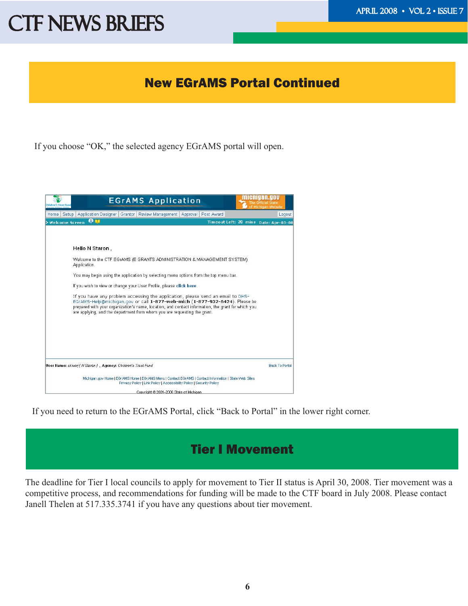#### New EGrAMS Portal Continued

If you choose "OK," the selected agency EGrAMS portal will open.



If you need to return to the EGrAMS Portal, click "Back to Portal" in the lower right corner.

### Tier I Movement

The deadline for Tier I local councils to apply for movement to Tier II status is April 30, 2008. Tier movement was a competitive process, and recommendations for funding will be made to the CTF board in July 2008. Please contact Janell Thelen at 517.335.3741 if you have any questions about tier movement.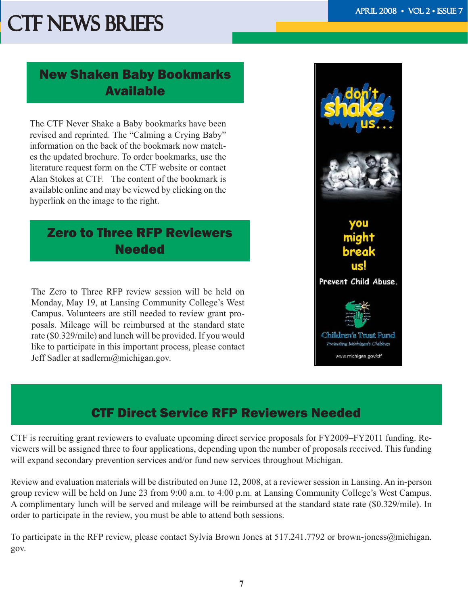#### New Shaken Baby Bookmarks Available

The CTF Never Shake a Baby bookmarks have been revised and reprinted. The "Calming a Crying Baby" information on the back of the bookmark now matches the updated brochure. To order bookmarks, use the literature request form on the CTF website or contact Alan Stokes at CTF. The content of the bookmark is available online and may be viewed by clicking on the hyperlink on the image to the right.

### Zero to Three RFP Reviewers **Needed**

The Zero to Three RFP review session will be held on Monday, May 19, at Lansing Community College's West Campus. Volunteers are still needed to review grant proposals. Mileage will be reimbursed at the standard state rate (\$0.329/mile) and lunch will be provided. If you would like to participate in this important process, please contact Jeff Sadler at sadlerm@michigan.gov.



### CTF Direct Service RFP Reviewers Needed

CTF is recruiting grant reviewers to evaluate upcoming direct service proposals for FY2009–FY2011 funding. Reviewers will be assigned three to four applications, depending upon the number of proposals received. This funding will expand secondary prevention services and/or fund new services throughout Michigan.

Review and evaluation materials will be distributed on June 12, 2008, at a reviewer session in Lansing. An in-person group review will be held on June 23 from 9:00 a.m. to 4:00 p.m. at Lansing Community College's West Campus. A complimentary lunch will be served and mileage will be reimbursed at the standard state rate (\$0.329/mile). In order to participate in the review, you must be able to attend both sessions.

To participate in the RFP review, please contact Sylvia Brown Jones at 517.241.7792 or brown-joness@michigan. gov.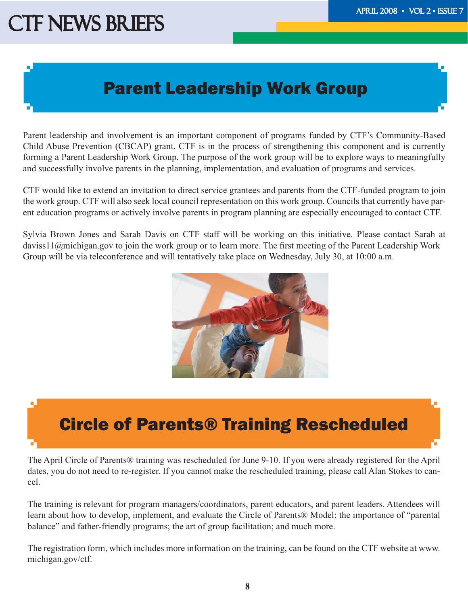### Parent Leadership Work Group

Parent leadership and involvement is an important component of programs funded by CTF's Community-Based Child Abuse Prevention (CBCAP) grant. CTF is in the process of strengthening this component and is currently forming a Parent Leadership Work Group. The purpose of the work group will be to explore ways to meaningfully and successfully involve parents in the planning, implementation, and evaluation of programs and services.

CTF would like to extend an invitation to direct service grantees and parents from the CTF-funded program to join the work group. CTF will also seek local council representation on this work group. Councils that currently have parent education programs or actively involve parents in program planning are especially encouraged to contact CTF.

Sylvia Brown Jones and Sarah Davis on CTF staff will be working on this initiative. Please contact Sarah at daviss11@michigan.gov to join the work group or to learn more. The first meeting of the Parent Leadership Work Group will be via teleconference and will tentatively take place on Wednesday, July 30, at 10:00 a.m.



### Circle of Parents® Training Rescheduled

The April Circle of Parents® training was rescheduled for June 9-10. If you were already registered for the April dates, you do not need to re-register. If you cannot make the rescheduled training, please call Alan Stokes to cancel.

The training is relevant for program managers/coordinators, parent educators, and parent leaders. Attendees will learn about how to develop, implement, and evaluate the Circle of Parents® Model; the importance of "parental balance" and father-friendly programs; the art of group facilitation; and much more.

The registration form, which includes more information on the training, can be found on the CTF website at www. michigan.gov/ctf.